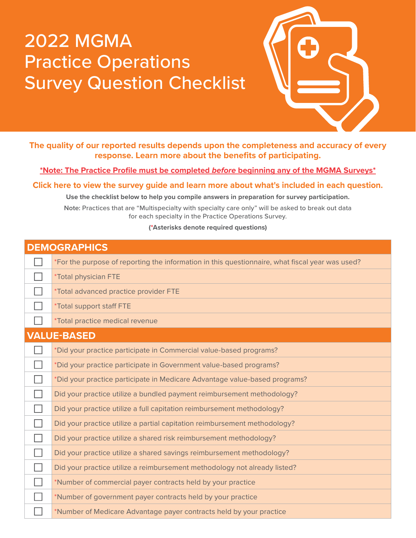## 2022 MGMA Practice Operations Survey Question Checklist



**The quality of our reported results depends upon the completeness and accuracy of every response. Learn more about the benefits of participating.**

**[\\*Note: The Practice Profile must be completed](https://www.mgma.com/MGMA/media/files/data/Practice-Profile-Guide.pdf)** *before* **beginning any of the MGMA Surveys\***

**[Click here to view the survey guide and learn more about what's included in each question.](https://mgma.com/getmedia/1ae35e7f-fd52-40ed-834e-0945e009bb65/DataDive-PracticeOps-GUIDE-2022.pdf.aspx)**

**Use the checklist below to help you compile answers in preparation for survey participation.**

**Note:** Practices that are "Multispecialty with specialty care only" will be asked to break out data for each specialty in the Practice Operations Survey.

**(\*Asterisks denote required questions)**

| <b>DEMOGRAPHICS</b> |                                                                                                 |
|---------------------|-------------------------------------------------------------------------------------------------|
|                     | *For the purpose of reporting the information in this questionnaire, what fiscal year was used? |
|                     | *Total physician FTE                                                                            |
|                     | *Total advanced practice provider FTE                                                           |
|                     | *Total support staff FTE                                                                        |
|                     | *Total practice medical revenue                                                                 |
|                     | <b>VALUE-BASED</b>                                                                              |
|                     | *Did your practice participate in Commercial value-based programs?                              |
|                     | *Did your practice participate in Government value-based programs?                              |
|                     | *Did your practice participate in Medicare Advantage value-based programs?                      |
|                     | Did your practice utilize a bundled payment reimbursement methodology?                          |
|                     | Did your practice utilize a full capitation reimbursement methodology?                          |
|                     | Did your practice utilize a partial capitation reimbursement methodology?                       |
|                     | Did your practice utilize a shared risk reimbursement methodology?                              |
|                     | Did your practice utilize a shared savings reimbursement methodology?                           |
|                     | Did your practice utilize a reimbursement methodology not already listed?                       |
|                     | *Number of commercial payer contracts held by your practice                                     |
|                     | *Number of government payer contracts held by your practice                                     |
|                     | *Number of Medicare Advantage payer contracts held by your practice                             |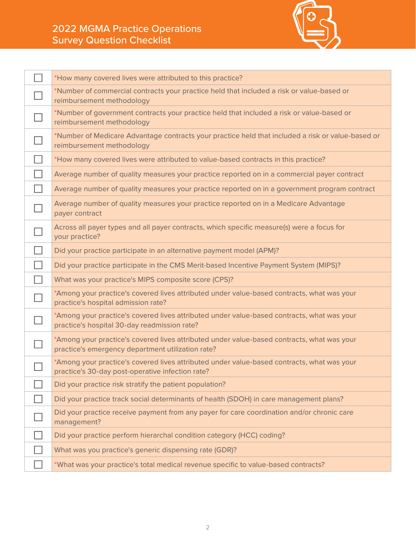## 2022 MGMA Practice Operations Survey Question Checklist



|                | *How many covered lives were attributed to this practice?                                                                                       |
|----------------|-------------------------------------------------------------------------------------------------------------------------------------------------|
|                | *Number of commercial contracts your practice held that included a risk or value-based or<br>reimbursement methodology                          |
|                | *Number of government contracts your practice held that included a risk or value-based or<br>reimbursement methodology                          |
|                | *Number of Medicare Advantage contracts your practice held that included a risk or value-based or<br>reimbursement methodology                  |
|                | *How many covered lives were attributed to value-based contracts in this practice?                                                              |
|                | Average number of quality measures your practice reported on in a commercial payer contract                                                     |
|                | Average number of quality measures your practice reported on in a government program contract                                                   |
|                | Average number of quality measures your practice reported on in a Medicare Advantage<br>payer contract                                          |
|                | Across all payer types and all payer contracts, which specific measure(s) were a focus for<br>your practice?                                    |
|                | Did your practice participate in an alternative payment model (APM)?                                                                            |
|                | Did your practice participate in the CMS Merit-based Incentive Payment System (MIPS)?                                                           |
| $\blacksquare$ | What was your practice's MIPS composite score (CPS)?                                                                                            |
|                | *Among your practice's covered lives attributed under value-based contracts, what was your<br>practice's hospital admission rate?               |
|                | *Among your practice's covered lives attributed under value-based contracts, what was your<br>practice's hospital 30-day readmission rate?      |
|                | *Among your practice's covered lives attributed under value-based contracts, what was your<br>practice's emergency department utilization rate? |
|                | *Among your practice's covered lives attributed under value-based contracts, what was your<br>practice's 30-day post-operative infection rate?  |
|                | Did your practice risk stratify the patient population?                                                                                         |
|                | Did your practice track social determinants of health (SDOH) in care management plans?                                                          |
|                | Did your practice receive payment from any payer for care coordination and/or chronic care<br>management?                                       |
|                | Did your practice perform hierarchal condition category (HCC) coding?                                                                           |
|                | What was you practice's generic dispensing rate (GDR)?                                                                                          |
|                | *What was your practice's total medical revenue specific to value-based contracts?                                                              |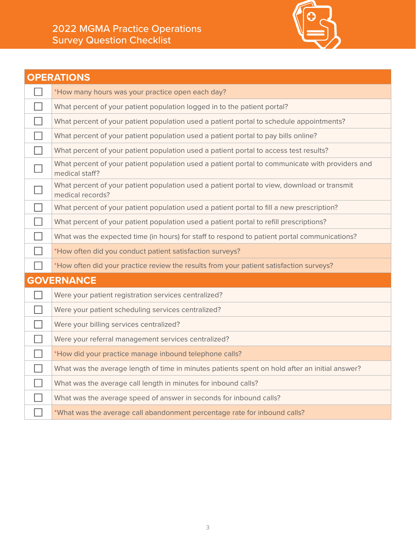## 2022 MGMA Practice Operations Survey Question Checklist



| <b>OPERATIONS</b> |                                                                                                                   |  |
|-------------------|-------------------------------------------------------------------------------------------------------------------|--|
|                   | *How many hours was your practice open each day?                                                                  |  |
|                   | What percent of your patient population logged in to the patient portal?                                          |  |
|                   | What percent of your patient population used a patient portal to schedule appointments?                           |  |
|                   | What percent of your patient population used a patient portal to pay bills online?                                |  |
| $\mathbb{R}^n$    | What percent of your patient population used a patient portal to access test results?                             |  |
|                   | What percent of your patient population used a patient portal to communicate with providers and<br>medical staff? |  |
|                   | What percent of your patient population used a patient portal to view, download or transmit<br>medical records?   |  |
|                   | What percent of your patient population used a patient portal to fill a new prescription?                         |  |
| $\Box$            | What percent of your patient population used a patient portal to refill prescriptions?                            |  |
|                   | What was the expected time (in hours) for staff to respond to patient portal communications?                      |  |
|                   | *How often did you conduct patient satisfaction surveys?                                                          |  |
|                   | *How often did your practice review the results from your patient satisfaction surveys?                           |  |
| <b>GOVERNANCE</b> |                                                                                                                   |  |
|                   | Were your patient registration services centralized?                                                              |  |
|                   | Were your patient scheduling services centralized?                                                                |  |
|                   | Were your billing services centralized?                                                                           |  |
|                   | Were your referral management services centralized?                                                               |  |
|                   | *How did your practice manage inbound telephone calls?                                                            |  |
|                   | What was the average length of time in minutes patients spent on hold after an initial answer?                    |  |
|                   | What was the average call length in minutes for inbound calls?                                                    |  |
|                   | What was the average speed of answer in seconds for inbound calls?                                                |  |
|                   | *What was the average call abandonment percentage rate for inbound calls?                                         |  |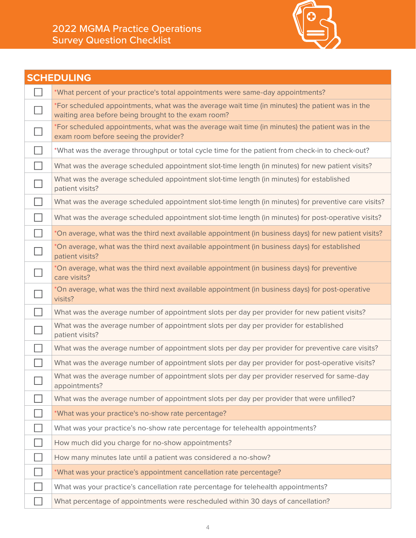

|                             | <b>SCHEDULING</b>                                                                                                                                      |
|-----------------------------|--------------------------------------------------------------------------------------------------------------------------------------------------------|
|                             | *What percent of your practice's total appointments were same-day appointments?                                                                        |
|                             | *For scheduled appointments, what was the average wait time (in minutes) the patient was in the<br>waiting area before being brought to the exam room? |
|                             | *For scheduled appointments, what was the average wait time (in minutes) the patient was in the<br>exam room before seeing the provider?               |
|                             | *What was the average throughput or total cycle time for the patient from check-in to check-out?                                                       |
| $\mathcal{L}_{\mathcal{A}}$ | What was the average scheduled appointment slot-time length (in minutes) for new patient visits?                                                       |
|                             | What was the average scheduled appointment slot-time length (in minutes) for established<br>patient visits?                                            |
|                             | What was the average scheduled appointment slot-time length (in minutes) for preventive care visits?                                                   |
|                             | What was the average scheduled appointment slot-time length (in minutes) for post-operative visits?                                                    |
| $\sim$                      | *On average, what was the third next available appointment (in business days) for new patient visits?                                                  |
|                             | *On average, what was the third next available appointment (in business days) for established<br>patient visits?                                       |
|                             | *On average, what was the third next available appointment (in business days) for preventive<br>care visits?                                           |
|                             | *On average, what was the third next available appointment (in business days) for post-operative<br>visits?                                            |
| $\mathcal{L}_{\mathcal{A}}$ | What was the average number of appointment slots per day per provider for new patient visits?                                                          |
|                             | What was the average number of appointment slots per day per provider for established<br>patient visits?                                               |
|                             | What was the average number of appointment slots per day per provider for preventive care visits?                                                      |
|                             | What was the average number of appointment slots per day per provider for post-operative visits?                                                       |
|                             | What was the average number of appointment slots per day per provider reserved for same-day<br>appointments?                                           |
|                             | What was the average number of appointment slots per day per provider that were unfilled?                                                              |
|                             | *What was your practice's no-show rate percentage?                                                                                                     |
|                             | What was your practice's no-show rate percentage for telehealth appointments?                                                                          |
|                             | How much did you charge for no-show appointments?                                                                                                      |
|                             | How many minutes late until a patient was considered a no-show?                                                                                        |
|                             | *What was your practice's appointment cancellation rate percentage?                                                                                    |
|                             | What was your practice's cancellation rate percentage for telehealth appointments?                                                                     |
|                             | What percentage of appointments were rescheduled within 30 days of cancellation?                                                                       |